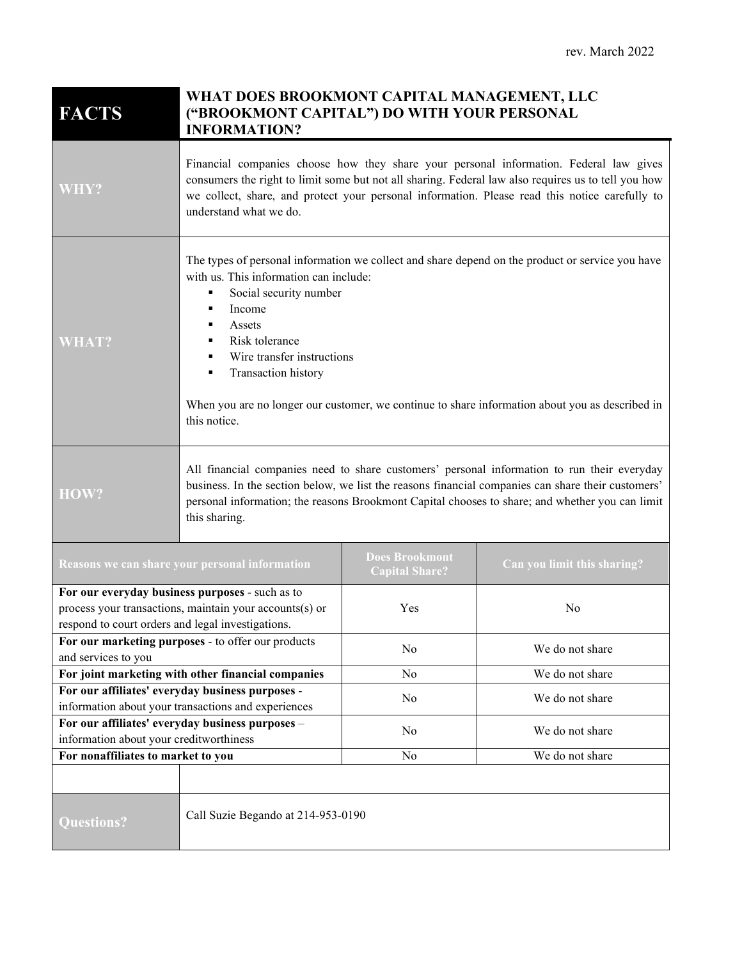| <b>FACTS</b>                                                                                                 | WHAT DOES BROOKMONT CAPITAL MANAGEMENT, LLC<br>("BROOKMONT CAPITAL") DO WITH YOUR PERSONAL<br><b>INFORMATION?</b>                                                                                                                                                                                                                                                                                           |                                                |                             |
|--------------------------------------------------------------------------------------------------------------|-------------------------------------------------------------------------------------------------------------------------------------------------------------------------------------------------------------------------------------------------------------------------------------------------------------------------------------------------------------------------------------------------------------|------------------------------------------------|-----------------------------|
| WHY?                                                                                                         | Financial companies choose how they share your personal information. Federal law gives<br>consumers the right to limit some but not all sharing. Federal law also requires us to tell you how<br>we collect, share, and protect your personal information. Please read this notice carefully to<br>understand what we do.                                                                                   |                                                |                             |
| <b>WHAT?</b>                                                                                                 | The types of personal information we collect and share depend on the product or service you have<br>with us. This information can include:<br>Social security number<br>٠<br>Income<br>٠<br>Assets<br>Risk tolerance<br>٠<br>Wire transfer instructions<br>٠<br>Transaction history<br>٠<br>When you are no longer our customer, we continue to share information about you as described in<br>this notice. |                                                |                             |
| HOW?                                                                                                         | All financial companies need to share customers' personal information to run their everyday<br>business. In the section below, we list the reasons financial companies can share their customers'<br>personal information; the reasons Brookmont Capital chooses to share; and whether you can limit<br>this sharing.                                                                                       |                                                |                             |
| Reasons we can share your personal information                                                               |                                                                                                                                                                                                                                                                                                                                                                                                             | <b>Does Brookmont</b><br><b>Capital Share?</b> | Can you limit this sharing? |
| For our everyday business purposes - such as to                                                              |                                                                                                                                                                                                                                                                                                                                                                                                             |                                                |                             |
| process your transactions, maintain your accounts(s) or<br>respond to court orders and legal investigations. |                                                                                                                                                                                                                                                                                                                                                                                                             | Yes                                            | No                          |
| For our marketing purposes - to offer our products<br>and services to you                                    |                                                                                                                                                                                                                                                                                                                                                                                                             | N <sub>o</sub>                                 | We do not share             |
|                                                                                                              | For joint marketing with other financial companies                                                                                                                                                                                                                                                                                                                                                          | N <sub>o</sub>                                 | We do not share             |
| For our affiliates' everyday business purposes -                                                             |                                                                                                                                                                                                                                                                                                                                                                                                             | No                                             | We do not share             |
| information about your transactions and experiences                                                          |                                                                                                                                                                                                                                                                                                                                                                                                             |                                                |                             |
| For our affiliates' everyday business purposes -                                                             |                                                                                                                                                                                                                                                                                                                                                                                                             | No                                             | We do not share             |
| information about your creditworthiness<br>For nonaffiliates to market to you                                |                                                                                                                                                                                                                                                                                                                                                                                                             | No                                             | We do not share             |
|                                                                                                              |                                                                                                                                                                                                                                                                                                                                                                                                             |                                                |                             |
| <b>Questions?</b>                                                                                            | Call Suzie Begando at 214-953-0190                                                                                                                                                                                                                                                                                                                                                                          |                                                |                             |